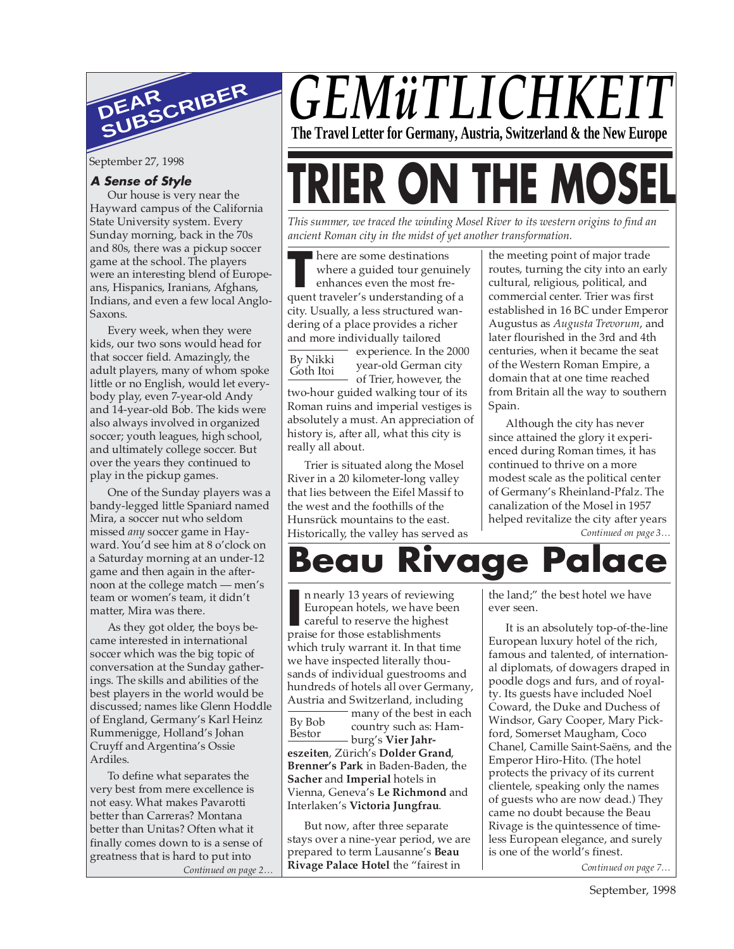

September 27, 1998

## **A Sense of Style**

Our house is very near the Hayward campus of the California State University system. Every Sunday morning, back in the 70s and 80s, there was a pickup soccer game at the school. The players were an interesting blend of Europeans, Hispanics, Iranians, Afghans, Indians, and even a few local Anglo-Saxons.

Every week, when they were kids, our two sons would head for that soccer field. Amazingly, the adult players, many of whom spoke little or no English, would let everybody play, even 7-year-old Andy and 14-year-old Bob. The kids were also always involved in organized soccer; youth leagues, high school, and ultimately college soccer. But over the years they continued to play in the pickup games.

One of the Sunday players was a bandy-legged little Spaniard named Mira, a soccer nut who seldom missed *any* soccer game in Hayward. You'd see him at 8 o'clock on a Saturday morning at an under-12 game and then again in the afternoon at the college match — men's team or women's team, it didn't matter, Mira was there.

As they got older, the boys became interested in international soccer which was the big topic of conversation at the Sunday gatherings. The skills and abilities of the best players in the world would be discussed; names like Glenn Hoddle of England, Germany's Karl Heinz Rummenigge, Holland's Johan Cruyff and Argentina's Ossie Ardiles.

To define what separates the very best from mere excellence is not easy. What makes Pavarotti better than Carreras? Montana better than Unitas? Often what it finally comes down to is a sense of greatness that is hard to put into

## *GEMüTLICHKE* **The Travel Letter for Germany, Austria, Switzerland & the New Europe**

# **RIER ON THE MOSE**

*This summer, we traced the winding Mosel River to its western origins to find an ancient Roman city in the midst of yet another transformation.*

**here are some destinations** where a guided tour genuinely

**THE SERVIE SERVIET SHOW SERVIET SHOW SHOWST SHOW SHOWST SHOW STATEMENT OF A 2013 THE SHOW SHOWST SHOWST SHOWST SHOWST SHOWST SHOWST SHOWST SHOWST SHOWST SHOWST SHOWST SHOWST SHOWST SHOWST SHOWST SHOWST SHOWST SHOWST SHOWS** enhances even the most frecity. Usually, a less structured wandering of a place provides a richer and more individually tailored

By Nikki Goth Itoi experience. In the 2000 year-old German city of Trier, however, the two-hour guided walking tour of its Roman ruins and imperial vestiges is absolutely a must. An appreciation of history is, after all, what this city is really all about.

Trier is situated along the Mosel River in a 20 kilometer-long valley that lies between the Eifel Massif to the west and the foothills of the Hunsrück mountains to the east. Historically, the valley has served as

the meeting point of major trade routes, turning the city into an early cultural, religious, political, and commercial center. Trier was first established in 16 BC under Emperor Augustus as *Augusta Trevorum*, and later flourished in the 3rd and 4th centuries, when it became the seat of the Western Roman Empire, a domain that at one time reached from Britain all the way to southern Spain.

*Continued on page 3…* Although the city has never since attained the glory it experienced during Roman times, it has continued to thrive on a more modest scale as the political center of Germany's Rheinland-Pfalz. The canalization of the Mosel in 1957 helped revitalize the city after years

## **Beau Rivage Palace**

**I** n nearly 13 years of reviewing European hotels, we have b careful to reserve the higher praise for those establishments n nearly 13 years of reviewing European hotels, we have been careful to reserve the highest which truly warrant it. In that time we have inspected literally thousands of individual guestrooms and hundreds of hotels all over Germany, Austria and Switzerland, including

many of the best in each country such as: Hamburg's **Vier Jahreszeiten**, Zürich's **Dolder Grand**, **Brenner's Park** in Baden-Baden, the **Sacher** and **Imperial** hotels in Vienna, Geneva's **Le Richmond** and Interlaken's **Victoria Jungfrau**. By Bob Bestor

*Continued on page 2… Continued on page 7…* **Rivage Palace Hotel** the "fairest in But now, after three separate stays over a nine-year period, we are prepared to term Lausanne's **Beau**

the land;" the best hotel we have ever seen.

It is an absolutely top-of-the-line European luxury hotel of the rich, famous and talented, of international diplomats, of dowagers draped in poodle dogs and furs, and of royalty. Its guests have included Noel Coward, the Duke and Duchess of Windsor, Gary Cooper, Mary Pickford, Somerset Maugham, Coco Chanel, Camille Saint-Saëns, and the Emperor Hiro-Hito. (The hotel protects the privacy of its current clientele, speaking only the names of guests who are now dead.) They came no doubt because the Beau Rivage is the quintessence of timeless European elegance, and surely is one of the world's finest.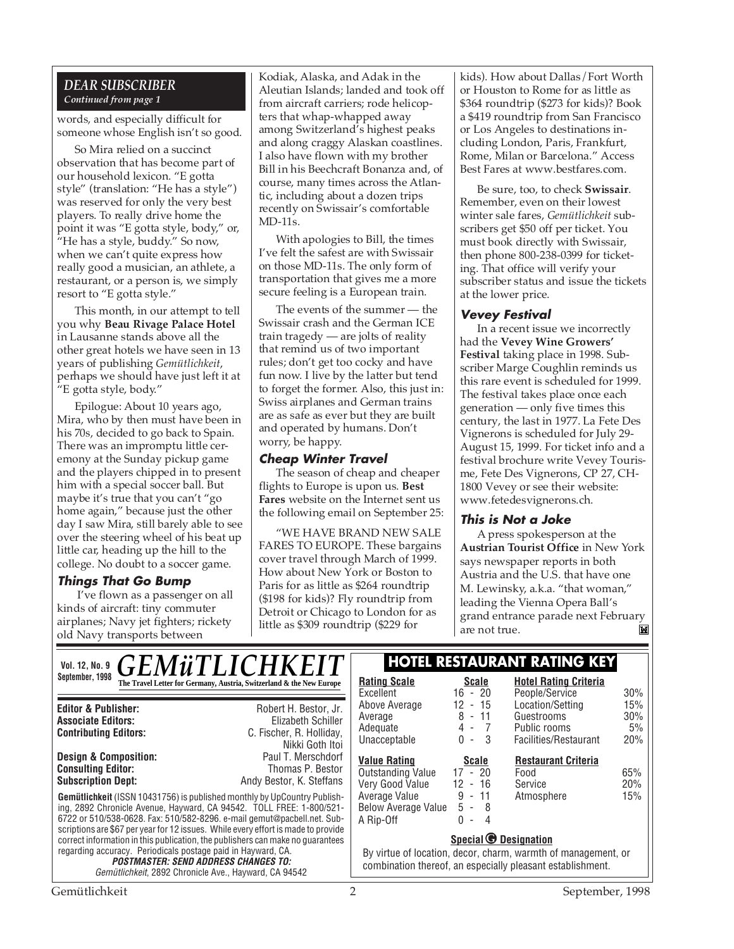## *DEAR SUBSCRIBER Continued from page 1*

words, and especially difficult for someone whose English isn't so good.

So Mira relied on a succinct observation that has become part of our household lexicon. "E gotta style" (translation: "He has a style") was reserved for only the very best players. To really drive home the point it was "E gotta style, body," or, "He has a style, buddy." So now, when we can't quite express how really good a musician, an athlete, a restaurant, or a person is, we simply resort to "E gotta style."

This month, in our attempt to tell you why **Beau Rivage Palace Hotel** in Lausanne stands above all the other great hotels we have seen in 13 years of publishing *Gemütlichkeit*, perhaps we should have just left it at "E gotta style, body."

Epilogue: About 10 years ago, Mira, who by then must have been in his 70s, decided to go back to Spain. There was an impromptu little ceremony at the Sunday pickup game and the players chipped in to present him with a special soccer ball. But maybe it's true that you can't "go home again," because just the other day I saw Mira, still barely able to see over the steering wheel of his beat up little car, heading up the hill to the college. No doubt to a soccer game.

### **Things That Go Bump**

 I've flown as a passenger on all kinds of aircraft: tiny commuter airplanes; Navy jet fighters; rickety old Navy transports between

Kodiak, Alaska, and Adak in the Aleutian Islands; landed and took off from aircraft carriers; rode helicopters that whap-whapped away among Switzerland's highest peaks and along craggy Alaskan coastlines. I also have flown with my brother Bill in his Beechcraft Bonanza and, of course, many times across the Atlantic, including about a dozen trips recently on Swissair's comfortable MD-11s.

With apologies to Bill, the times I've felt the safest are with Swissair on those MD-11s. The only form of transportation that gives me a more secure feeling is a European train.

The events of the summer — the Swissair crash and the German ICE train tragedy — are jolts of reality that remind us of two important rules; don't get too cocky and have fun now. I live by the latter but tend to forget the former. Also, this just in: Swiss airplanes and German trains are as safe as ever but they are built and operated by humans. Don't worry, be happy.

## **Cheap Winter Travel**

The season of cheap and cheaper flights to Europe is upon us. **Best Fares** website on the Internet sent us the following email on September 25:

"WE HAVE BRAND NEW SALE FARES TO EUROPE. These bargains cover travel through March of 1999. How about New York or Boston to Paris for as little as \$264 roundtrip (\$198 for kids)? Fly roundtrip from Detroit or Chicago to London for as little as \$309 roundtrip (\$229 for

kids). How about Dallas/Fort Worth or Houston to Rome for as little as \$364 roundtrip (\$273 for kids)? Book a \$419 roundtrip from San Francisco or Los Angeles to destinations including London, Paris, Frankfurt, Rome, Milan or Barcelona." Access Best Fares at www.bestfares.com.

Be sure, too, to check **Swissair**. Remember, even on their lowest winter sale fares, *Gemütlichkeit* subscribers get \$50 off per ticket. You must book directly with Swissair, then phone 800-238-0399 for ticketing. That office will verify your subscriber status and issue the tickets at the lower price.

## **Vevey Festival**

In a recent issue we incorrectly had the **Vevey Wine Growers' Festival** taking place in 1998. Subscriber Marge Coughlin reminds us this rare event is scheduled for 1999. The festival takes place once each generation — only five times this century, the last in 1977. La Fete Des Vignerons is scheduled for July 29- August 15, 1999. For ticket info and a festival brochure write Vevey Tourisme, Fete Des Vignerons, CP 27, CH-1800 Vevey or see their website: www.fetedesvignerons.ch.

## **This is Not a Joke**

A press spokesperson at the **Austrian Tourist Office** in New York says newspaper reports in both Austria and the U.S. that have one M. Lewinsky, a.k.a. "that woman," leading the Vienna Opera Ball's grand entrance parade next February are not true.M

| Vol. 12, No. 9                                                                                                                                                                                                                                                                                                                                                                                                                                                                                                                                                                    | <b>GEMÜTLICHKEIT</b>                                                                       |                                                                                                                                                             |                                         | <b>HOTEL RESTAURANT RATING KEY</b>                                      |                         |
|-----------------------------------------------------------------------------------------------------------------------------------------------------------------------------------------------------------------------------------------------------------------------------------------------------------------------------------------------------------------------------------------------------------------------------------------------------------------------------------------------------------------------------------------------------------------------------------|--------------------------------------------------------------------------------------------|-------------------------------------------------------------------------------------------------------------------------------------------------------------|-----------------------------------------|-------------------------------------------------------------------------|-------------------------|
| September, 1998                                                                                                                                                                                                                                                                                                                                                                                                                                                                                                                                                                   | The Travel Letter for Germany, Austria, Switzerland & the New Europe                       | <b>Rating Scale</b><br>Excellent                                                                                                                            | <b>Scale</b><br>$16 - 20$               | <b>Hotel Rating Criteria</b><br>People/Service                          | 30%                     |
| <b>Editor &amp; Publisher:</b><br><b>Associate Editors:</b><br><b>Contributing Editors:</b>                                                                                                                                                                                                                                                                                                                                                                                                                                                                                       | Robert H. Bestor, Jr.<br>Elizabeth Schiller<br>C. Fischer, R. Holliday,<br>Nikki Goth Itoi | Above Average<br>Average<br>Adequate<br>Unacceptable                                                                                                        | 12 - 15<br>8 - 11<br>$4 - 7$<br>$0 - 3$ | Location/Setting<br>Guestrooms<br>Public rooms<br>Facilities/Restaurant | 15%<br>30%<br>5%<br>20% |
| <b>Design &amp; Composition:</b><br><b>Consulting Editor:</b><br><b>Subscription Dept:</b>                                                                                                                                                                                                                                                                                                                                                                                                                                                                                        | Paul T. Merschdorf<br>Thomas P. Bestor<br>Andy Bestor, K. Steffans                         | <b>Value Rating</b><br><b>Outstanding Value</b><br>Very Good Value                                                                                          | <b>Scale</b><br>$17 - 20$<br>$12 - 16$  | <b>Restaurant Criteria</b><br>Food<br>Service                           | 65%<br>20%              |
| <b>Gemütlichkeit</b> (ISSN 10431756) is published monthly by UpCountry Publish-<br>ing, 2892 Chronicle Avenue, Hayward, CA 94542. TOLL FREE: 1-800/521-<br>6722 or 510/538-0628. Fax: 510/582-8296. e-mail gemut@pacbell.net. Sub-<br>scriptions are \$67 per year for 12 issues. While every effort is made to provide<br>correct information in this publication, the publishers can make no guarantees<br>regarding accuracy. Periodicals postage paid in Hayward, CA.<br><b>POSTMASTER: SEND ADDRESS CHANGES TO:</b><br>Gemütlichkeit, 2892 Chronicle Ave., Hayward, CA 94542 |                                                                                            | Average Value<br>Below Average Value<br>A Rip-Off                                                                                                           | $9 - 11$<br>$5 -$<br>- 8<br>$0 -$<br>4  | Atmosphere                                                              | 15%                     |
|                                                                                                                                                                                                                                                                                                                                                                                                                                                                                                                                                                                   |                                                                                            | Special <b>O</b> Designation<br>By virtue of location, decor, charm, warmth of management, or<br>combination thereof, an especially pleasant establishment. |                                         |                                                                         |                         |
| Gemütlichkeit<br>September, 1998                                                                                                                                                                                                                                                                                                                                                                                                                                                                                                                                                  |                                                                                            |                                                                                                                                                             |                                         |                                                                         |                         |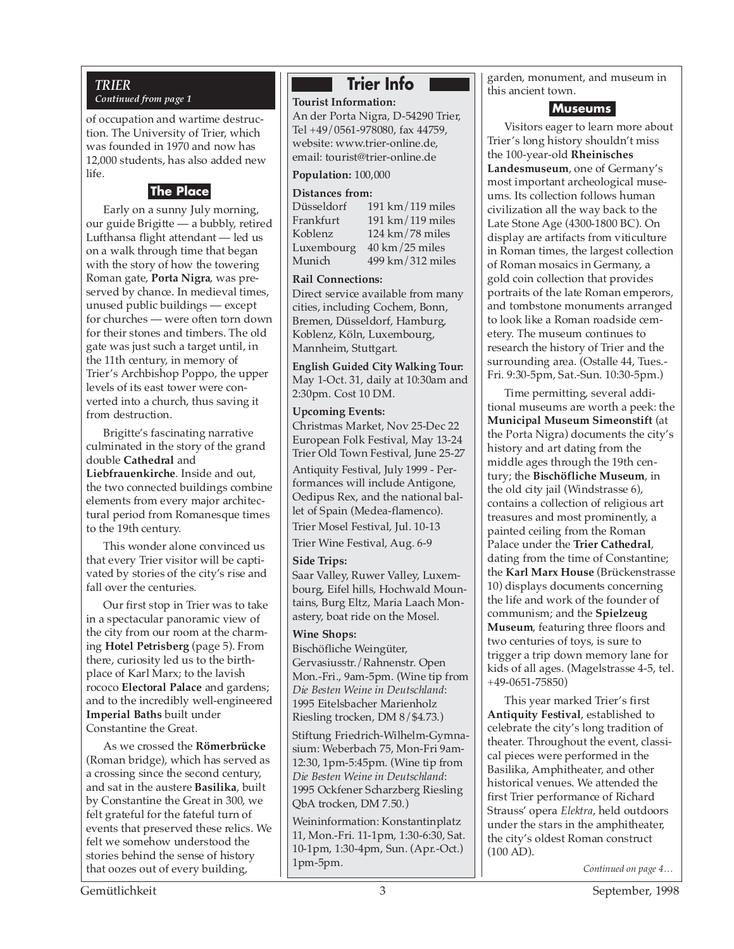## *TRIER*

*Continued from page 1*

of occupation and wartime destruction. The University of Trier, which was founded in 1970 and now has 12,000 students, has also added new life.



Early on a sunny July morning, our guide Brigitte — a bubbly, retired Lufthansa flight attendant — led us on a walk through time that began with the story of how the towering Roman gate, **Porta Nigra**, was preserved by chance. In medieval times, unused public buildings — except for churches — were often torn down for their stones and timbers. The old gate was just such a target until, in the 11th century, in memory of Trier's Archbishop Poppo, the upper levels of its east tower were converted into a church, thus saving it from destruction.

Brigitte's fascinating narrative culminated in the story of the grand double **Cathedral** and **Liebfrauenkirche**. Inside and out, the two connected buildings combine elements from every major architectural period from Romanesque times to the 19th century.

This wonder alone convinced us that every Trier visitor will be captivated by stories of the city's rise and fall over the centuries.

Our first stop in Trier was to take in a spectacular panoramic view of the city from our room at the charming **Hotel Petrisberg** (page 5). From there, curiosity led us to the birthplace of Karl Marx; to the lavish rococo **Electoral Palace** and gardens; and to the incredibly well-engineered **Imperial Baths** built under Constantine the Great.

As we crossed the **Römerbrücke** (Roman bridge), which has served as a crossing since the second century, and sat in the austere **Basilika**, built by Constantine the Great in 300, we felt grateful for the fateful turn of events that preserved these relics. We felt we somehow understood the stories behind the sense of history that oozes out of every building,

## **Trier Info**

## **Tourist Information:**

An der Porta Nigra, D-54290 Trier, Tel +49/0561-978080, fax 44759, website: www.trier-online.de, email: tourist@trier-online.de

**Population:** 100,000

#### **Distances from:**

| Düsseldorf | 191 km/119 miles                    |
|------------|-------------------------------------|
| Frankfurt  | 191 km/119 miles                    |
| Koblenz    | $124 \text{ km} / 78 \text{ miles}$ |
| Luxembourg | $40 \text{ km} / 25 \text{ miles}$  |
| Munich     | 499 km/312 miles                    |
|            |                                     |

### **Rail Connections:**

Direct service available from many cities, including Cochem, Bonn, Bremen, Düsseldorf, Hamburg, Koblenz, Köln, Luxembourg, Mannheim, Stuttgart.

**English Guided City Walking Tour:** May 1-Oct. 31, daily at 10:30am and 2:30pm. Cost 10 DM.

## **Upcoming Events:**

Christmas Market, Nov 25-Dec 22 European Folk Festival, May 13-24 Trier Old Town Festival, June 25-27 Antiquity Festival, July 1999 - Performances will include Antigone, Oedipus Rex, and the national ballet of Spain (Medea-flamenco).

Trier Mosel Festival, Jul. 10-13

Trier Wine Festival, Aug. 6-9

## **Side Trips:**

Saar Valley, Ruwer Valley, Luxembourg, Eifel hills, Hochwald Mountains, Burg Eltz, Maria Laach Monastery, boat ride on the Mosel.

## **Wine Shops:**

Bischöfliche Weingüter, Gervasiusstr./Rahnenstr. Open Mon.-Fri., 9am-5pm. (Wine tip from *Die Besten Weine in Deutschland*: 1995 Eitelsbacher Marienholz Riesling trocken, DM 8/\$4.73.)

Stiftung Friedrich-Wilhelm-Gymnasium: Weberbach 75, Mon-Fri 9am-12:30, 1pm-5:45pm. (Wine tip from *Die Besten Weine in Deutschland*: 1995 Ockfener Scharzberg Riesling QbA trocken, DM 7.50.)

Weininformation: Konstantinplatz 11, Mon.-Fri. 11-1pm, 1:30-6:30, Sat. 10-1pm, 1:30-4pm, Sun. (Apr.-Oct.) 1pm-5pm.

garden, monument, and museum in this ancient town.

## **Museums**

Visitors eager to learn more about Trier's long history shouldn't miss the 100-year-old **Rheinisches Landesmuseum**, one of Germany's most important archeological museums. Its collection follows human civilization all the way back to the Late Stone Age (4300-1800 BC). On display are artifacts from viticulture in Roman times, the largest collection of Roman mosaics in Germany, a gold coin collection that provides portraits of the late Roman emperors, and tombstone monuments arranged to look like a Roman roadside cemetery. The museum continues to research the history of Trier and the surrounding area. (Ostalle 44, Tues.- Fri. 9:30-5pm, Sat.-Sun. 10:30-5pm.)

Time permitting, several additional museums are worth a peek: the **Municipal Museum Simeonstift** (at the Porta Nigra) documents the city's history and art dating from the middle ages through the 19th century; the **Bischöfliche Museum**, in the old city jail (Windstrasse 6), contains a collection of religious art treasures and most prominently, a painted ceiling from the Roman Palace under the **Trier Cathedral**, dating from the time of Constantine; the **Karl Marx House** (Brückenstrasse 10) displays documents concerning the life and work of the founder of communism; and the **Spielzeug Museum**, featuring three floors and two centuries of toys, is sure to trigger a trip down memory lane for kids of all ages. (Magelstrasse 4-5, tel. +49-0651-75850)

This year marked Trier's first **Antiquity Festival**, established to celebrate the city's long tradition of theater. Throughout the event, classical pieces were performed in the Basilika, Amphitheater, and other historical venues. We attended the first Trier performance of Richard Strauss' opera *Elektra*, held outdoors under the stars in the amphitheater, the city's oldest Roman construct (100 AD).

*Continued on page 4…*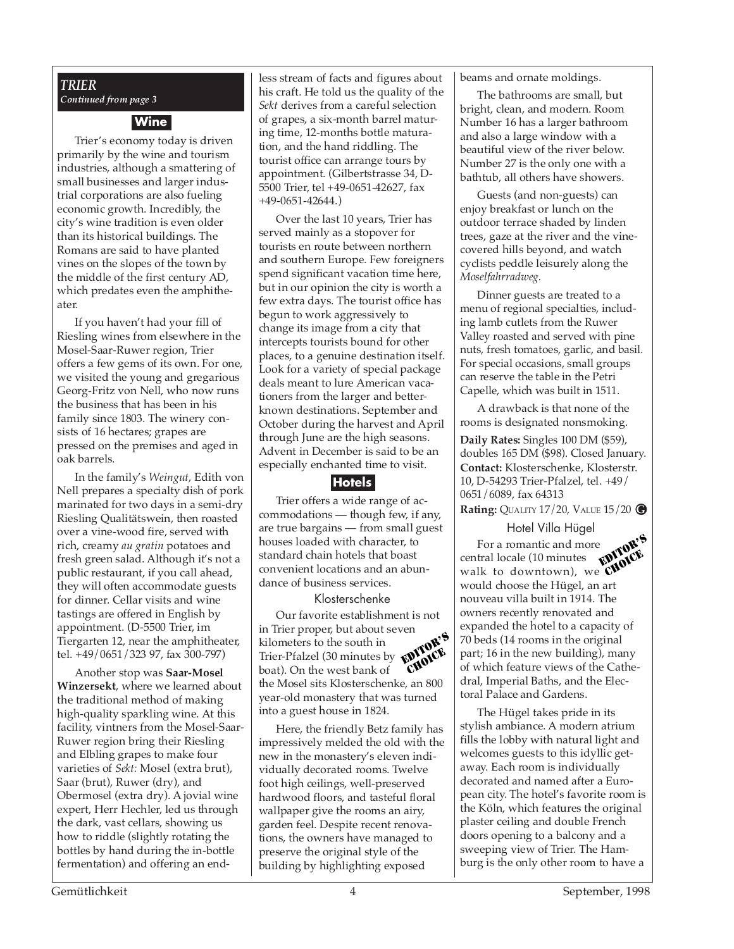## *TRIER*

*Continued from page 3*

## **Wine**

Trier's economy today is driven primarily by the wine and tourism industries, although a smattering of small businesses and larger industrial corporations are also fueling economic growth. Incredibly, the city's wine tradition is even older than its historical buildings. The Romans are said to have planted vines on the slopes of the town by the middle of the first century AD, which predates even the amphitheater.

If you haven't had your fill of Riesling wines from elsewhere in the Mosel-Saar-Ruwer region, Trier offers a few gems of its own. For one, we visited the young and gregarious Georg-Fritz von Nell, who now runs the business that has been in his family since 1803. The winery consists of 16 hectares; grapes are pressed on the premises and aged in oak barrels.

In the family's *Weingut*, Edith von Nell prepares a specialty dish of pork marinated for two days in a semi-dry Riesling Qualitätswein, then roasted over a vine-wood fire, served with rich, creamy *au gratin* potatoes and fresh green salad. Although it's not a public restaurant, if you call ahead, they will often accommodate guests for dinner. Cellar visits and wine tastings are offered in English by appointment. (D-5500 Trier, im Tiergarten 12, near the amphitheater, tel. +49/0651/323 97, fax 300-797)

Another stop was **Saar-Mosel Winzersekt**, where we learned about the traditional method of making high-quality sparkling wine. At this facility, vintners from the Mosel-Saar-Ruwer region bring their Riesling and Elbling grapes to make four varieties of *Sekt:* Mosel (extra brut), Saar (brut), Ruwer (dry), and Obermosel (extra dry). A jovial wine expert, Herr Hechler, led us through the dark, vast cellars, showing us how to riddle (slightly rotating the bottles by hand during the in-bottle fermentation) and offering an endless stream of facts and figures about his craft. He told us the quality of the *Sekt* derives from a careful selection of grapes, a six-month barrel maturing time, 12-months bottle maturation, and the hand riddling. The tourist office can arrange tours by appointment. (Gilbertstrasse 34, D-5500 Trier, tel +49-0651-42627, fax +49-0651-42644.)

Over the last 10 years, Trier has served mainly as a stopover for tourists en route between northern and southern Europe. Few foreigners spend significant vacation time here, but in our opinion the city is worth a few extra days. The tourist office has begun to work aggressively to change its image from a city that intercepts tourists bound for other places, to a genuine destination itself. Look for a variety of special package deals meant to lure American vacationers from the larger and betterknown destinations. September and October during the harvest and April through June are the high seasons. Advent in December is said to be an especially enchanted time to visit.

## **Hotels**

Trier offers a wide range of accommodations — though few, if any, are true bargains — from small guest houses loaded with character, to standard chain hotels that boast convenient locations and an abundance of business services.

Klosterschenke

Our favorite establishment is not in Trier proper, but about seven kilometers to the south in Trier-Pfalzel (30 minutes by boat). On the west bank of the Mosel sits Klosterschenke, an 800 year-old monastery that was turned into a guest house in 1824. EDITOR'S CHOICE.<br>CHOICE

Here, the friendly Betz family has impressively melded the old with the new in the monastery's eleven individually decorated rooms. Twelve foot high ceilings, well-preserved hardwood floors, and tasteful floral wallpaper give the rooms an airy, garden feel. Despite recent renovations, the owners have managed to preserve the original style of the building by highlighting exposed

beams and ornate moldings.

The bathrooms are small, but bright, clean, and modern. Room Number 16 has a larger bathroom and also a large window with a beautiful view of the river below. Number 27 is the only one with a bathtub, all others have showers.

Guests (and non-guests) can enjoy breakfast or lunch on the outdoor terrace shaded by linden trees, gaze at the river and the vinecovered hills beyond, and watch cyclists peddle leisurely along the *Moselfahrradweg.*

Dinner guests are treated to a menu of regional specialties, including lamb cutlets from the Ruwer Valley roasted and served with pine nuts, fresh tomatoes, garlic, and basil. For special occasions, small groups can reserve the table in the Petri Capelle, which was built in 1511.

A drawback is that none of the rooms is designated nonsmoking.

**Daily Rates:** Singles 100 DM (\$59), doubles 165 DM (\$98). Closed January. **Contact:** Klosterschenke, Klosterstr. 10, D-54293 Trier-Pfalzel, tel. +49/ 0651/6089, fax 64313 **Rating:** QUALITY 17/20, VALUE 15/20 **G**

## Hotel Villa Hügel

For a romantic and more central locale (10 minutes walk to downtown), we walk to downtown), we currently would choose the Huger nouveau villa built in 1914. The owners recently renovated and expanded the hotel to a capacity of 70 beds (14 rooms in the original part; 16 in the new building), many of which feature views of the Cathedral, Imperial Baths, and the Electoral Palace and Gardens. EDITOR'S CHOICE

The Hügel takes pride in its stylish ambiance. A modern atrium fills the lobby with natural light and welcomes guests to this idyllic getaway. Each room is individually decorated and named after a European city. The hotel's favorite room is the Köln, which features the original plaster ceiling and double French doors opening to a balcony and a sweeping view of Trier. The Hamburg is the only other room to have a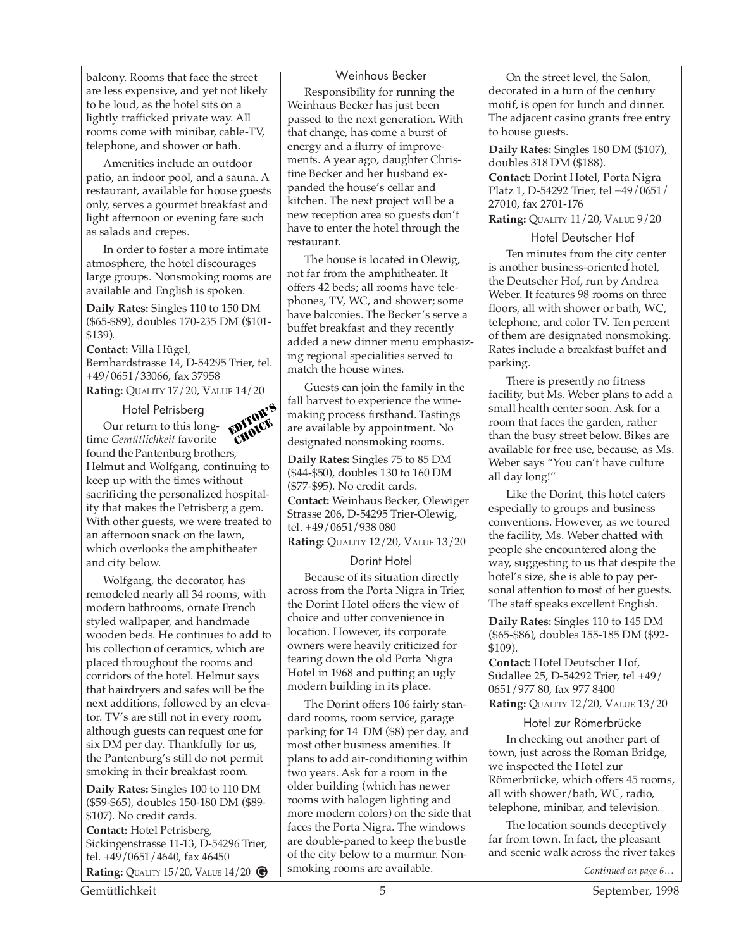balcony. Rooms that face the street are less expensive, and yet not likely to be loud, as the hotel sits on a lightly trafficked private way. All rooms come with minibar, cable-TV, telephone, and shower or bath.

Amenities include an outdoor patio, an indoor pool, and a sauna. A restaurant, available for house guests only, serves a gourmet breakfast and light afternoon or evening fare such as salads and crepes.

In order to foster a more intimate atmosphere, the hotel discourages large groups. Nonsmoking rooms are available and English is spoken.

**Daily Rates:** Singles 110 to 150 DM (\$65-\$89), doubles 170-235 DM (\$101- \$139).

**Contact:** Villa Hügel, Bernhardstrasse 14, D-54295 Trier, tel. +49/0651/33066, fax 37958 **Rating:** QUALITY 17/20, VALUE 14/20

Hotel Petrisberg Our return to this longtime *Gemütlichkeit* favorite Found the Pantenburg brothers, Helmut and Wolfgang, continuing to keep up with the times without sacrificing the personalized hospitality that makes the Petrisberg a gem. With other guests, we were treated to an afternoon snack on the lawn, which overlooks the amphitheater and city below. EDITOR'S CHOICE

Wolfgang, the decorator, has remodeled nearly all 34 rooms, with modern bathrooms, ornate French styled wallpaper, and handmade wooden beds. He continues to add to his collection of ceramics, which are placed throughout the rooms and corridors of the hotel. Helmut says that hairdryers and safes will be the next additions, followed by an elevator. TV's are still not in every room, although guests can request one for six DM per day. Thankfully for us, the Pantenburg's still do not permit smoking in their breakfast room.

**Daily Rates:** Singles 100 to 110 DM (\$59-\$65), doubles 150-180 DM (\$89- \$107). No credit cards. **Contact:** Hotel Petrisberg, Sickingenstrasse 11-13, D-54296 Trier,

tel. +49/0651/4640, fax 46450 **Rating:** QUALITY 15/20, VALUE 14/20 **G**

## Weinhaus Becker

Responsibility for running the Weinhaus Becker has just been passed to the next generation. With that change, has come a burst of energy and a flurry of improvements. A year ago, daughter Christine Becker and her husband expanded the house's cellar and kitchen. The next project will be a new reception area so guests don't have to enter the hotel through the restaurant.

The house is located in Olewig, not far from the amphitheater. It offers 42 beds; all rooms have telephones, TV, WC, and shower; some have balconies. The Becker's serve a buffet breakfast and they recently added a new dinner menu emphasizing regional specialities served to match the house wines.

Guests can join the family in the fall harvest to experience the winemaking process firsthand. Tastings are available by appointment. No designated nonsmoking rooms.

**Daily Rates:** Singles 75 to 85 DM (\$44-\$50), doubles 130 to 160 DM (\$77-\$95). No credit cards.

**Contact:** Weinhaus Becker, Olewiger Strasse 206, D-54295 Trier-Olewig, tel. +49/0651/938 080

**Rating:** QUALITY 12/20, VALUE 13/20

## Dorint Hotel

Because of its situation directly across from the Porta Nigra in Trier, the Dorint Hotel offers the view of choice and utter convenience in location. However, its corporate owners were heavily criticized for tearing down the old Porta Nigra Hotel in 1968 and putting an ugly modern building in its place.

The Dorint offers 106 fairly standard rooms, room service, garage parking for 14 DM (\$8) per day, and most other business amenities. It plans to add air-conditioning within two years. Ask for a room in the older building (which has newer rooms with halogen lighting and more modern colors) on the side that faces the Porta Nigra. The windows are double-paned to keep the bustle of the city below to a murmur. Nonsmoking rooms are available.

On the street level, the Salon, decorated in a turn of the century motif, is open for lunch and dinner. The adjacent casino grants free entry to house guests.

**Daily Rates:** Singles 180 DM (\$107), doubles 318 DM (\$188).

**Contact:** Dorint Hotel, Porta Nigra Platz 1, D-54292 Trier, tel +49/0651/ 27010, fax 2701-176

**Rating:** QUALITY 11/20, VALUE 9/20

Hotel Deutscher Hof

Ten minutes from the city center is another business-oriented hotel, the Deutscher Hof, run by Andrea Weber. It features 98 rooms on three floors, all with shower or bath, WC, telephone, and color TV. Ten percent of them are designated nonsmoking. Rates include a breakfast buffet and parking.

There is presently no fitness facility, but Ms. Weber plans to add a small health center soon. Ask for a room that faces the garden, rather than the busy street below. Bikes are available for free use, because, as Ms. Weber says "You can't have culture all day long!"

Like the Dorint, this hotel caters especially to groups and business conventions. However, as we toured the facility, Ms. Weber chatted with people she encountered along the way, suggesting to us that despite the hotel's size, she is able to pay personal attention to most of her guests. The staff speaks excellent English.

**Daily Rates:** Singles 110 to 145 DM (\$65-\$86), doubles 155-185 DM (\$92- \$109).

**Contact:** Hotel Deutscher Hof, Südallee 25, D-54292 Trier, tel +49/ 0651/977 80, fax 977 8400 **Rating:** QUALITY 12/20, VALUE 13/20

Hotel zur Römerbrücke In checking out another part of town, just across the Roman Bridge, we inspected the Hotel zur Römerbrücke, which offers 45 rooms, all with shower/bath, WC, radio, telephone, minibar, and television.

The location sounds deceptively far from town. In fact, the pleasant and scenic walk across the river takes

*Continued on page 6…*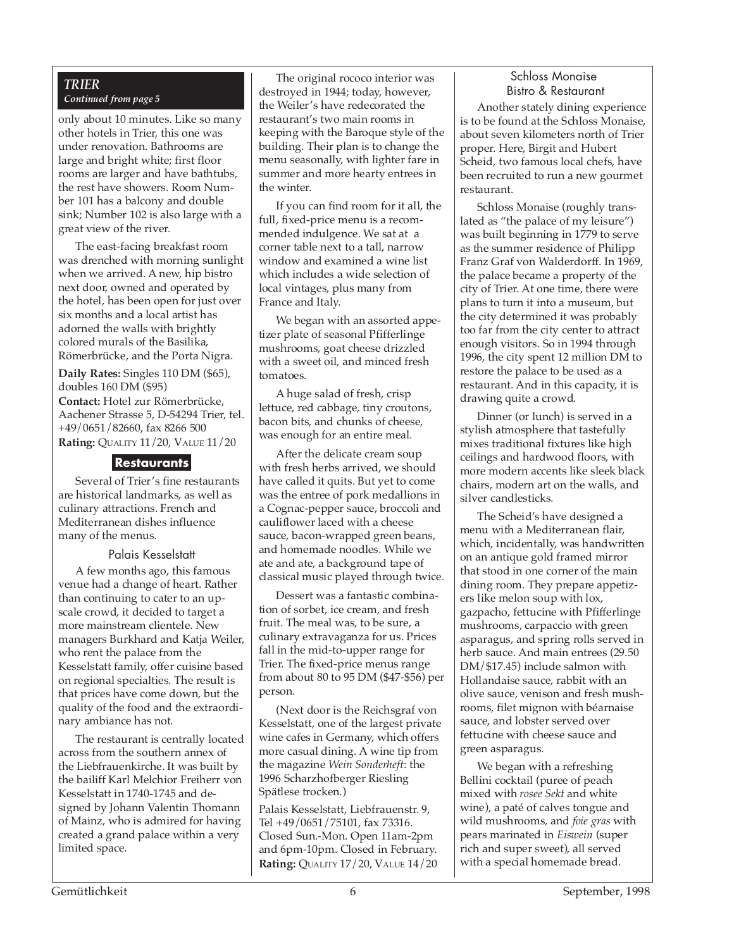## *TRIER Continued from page 5*

only about 10 minutes. Like so many other hotels in Trier, this one was under renovation. Bathrooms are large and bright white; first floor rooms are larger and have bathtubs, the rest have showers. Room Number 101 has a balcony and double sink; Number 102 is also large with a great view of the river.

The east-facing breakfast room was drenched with morning sunlight when we arrived. A new, hip bistro next door, owned and operated by the hotel, has been open for just over six months and a local artist has adorned the walls with brightly colored murals of the Basilika, Römerbrücke, and the Porta Nigra.

**Daily Rates:** Singles 110 DM (\$65), doubles 160 DM (\$95)

**Contact:** Hotel zur Römerbrücke, Aachener Strasse 5, D-54294 Trier, tel. +49/0651/82660, fax 8266 500

**Rating:** QUALITY 11/20, VALUE 11/20

## **Restaurants**

Several of Trier's fine restaurants are historical landmarks, as well as culinary attractions. French and Mediterranean dishes influence many of the menus.

## Palais Kesselstatt

A few months ago, this famous venue had a change of heart. Rather than continuing to cater to an upscale crowd, it decided to target a more mainstream clientele. New managers Burkhard and Katja Weiler, who rent the palace from the Kesselstatt family, offer cuisine based on regional specialties. The result is that prices have come down, but the quality of the food and the extraordinary ambiance has not.

The restaurant is centrally located across from the southern annex of the Liebfrauenkirche. It was built by the bailiff Karl Melchior Freiherr von Kesselstatt in 1740-1745 and designed by Johann Valentin Thomann of Mainz, who is admired for having created a grand palace within a very limited space.

The original rococo interior was destroyed in 1944; today, however, the Weiler's have redecorated the restaurant's two main rooms in keeping with the Baroque style of the building. Their plan is to change the menu seasonally, with lighter fare in summer and more hearty entrees in the winter.

If you can find room for it all, the full, fixed-price menu is a recommended indulgence. We sat at a corner table next to a tall, narrow window and examined a wine list which includes a wide selection of local vintages, plus many from France and Italy.

We began with an assorted appetizer plate of seasonal Pfifferlinge mushrooms, goat cheese drizzled with a sweet oil, and minced fresh tomatoes.

A huge salad of fresh, crisp lettuce, red cabbage, tiny croutons, bacon bits, and chunks of cheese, was enough for an entire meal.

After the delicate cream soup with fresh herbs arrived, we should have called it quits. But yet to come was the entree of pork medallions in a Cognac-pepper sauce, broccoli and cauliflower laced with a cheese sauce, bacon-wrapped green beans, and homemade noodles. While we ate and ate, a background tape of classical music played through twice.

Dessert was a fantastic combination of sorbet, ice cream, and fresh fruit. The meal was, to be sure, a culinary extravaganza for us. Prices fall in the mid-to-upper range for Trier. The fixed-price menus range from about 80 to 95 DM (\$47-\$56) per person.

(Next door is the Reichsgraf von Kesselstatt, one of the largest private wine cafes in Germany, which offers more casual dining. A wine tip from the magazine *Wein Sonderheft*: the 1996 Scharzhofberger Riesling Spätlese trocken.)

Palais Kesselstatt, Liebfrauenstr. 9, Tel +49/0651/75101, fax 73316. Closed Sun.-Mon. Open 11am-2pm and 6pm-10pm. Closed in February. **Rating:** QUALITY 17/20, VALUE 14/20

## Schloss Monaise Bistro & Restaurant

Another stately dining experience is to be found at the Schloss Monaise, about seven kilometers north of Trier proper. Here, Birgit and Hubert Scheid, two famous local chefs, have been recruited to run a new gourmet restaurant.

Schloss Monaise (roughly translated as "the palace of my leisure") was built beginning in 1779 to serve as the summer residence of Philipp Franz Graf von Walderdorff. In 1969, the palace became a property of the city of Trier. At one time, there were plans to turn it into a museum, but the city determined it was probably too far from the city center to attract enough visitors. So in 1994 through 1996, the city spent 12 million DM to restore the palace to be used as a restaurant. And in this capacity, it is drawing quite a crowd.

Dinner (or lunch) is served in a stylish atmosphere that tastefully mixes traditional fixtures like high ceilings and hardwood floors, with more modern accents like sleek black chairs, modern art on the walls, and silver candlesticks.

The Scheid's have designed a menu with a Mediterranean flair, which, incidentally, was handwritten on an antique gold framed mirror that stood in one corner of the main dining room. They prepare appetizers like melon soup with lox, gazpacho, fettucine with Pfifferlinge mushrooms, carpaccio with green asparagus, and spring rolls served in herb sauce. And main entrees (29.50 DM/\$17.45) include salmon with Hollandaise sauce, rabbit with an olive sauce, venison and fresh mushrooms, filet mignon with béarnaise sauce, and lobster served over fettucine with cheese sauce and green asparagus.

We began with a refreshing Bellini cocktail (puree of peach mixed with *rosee Sekt* and white wine), a paté of calves tongue and wild mushrooms, and *foie gras* with pears marinated in *Eiswein* (super rich and super sweet), all served with a special homemade bread.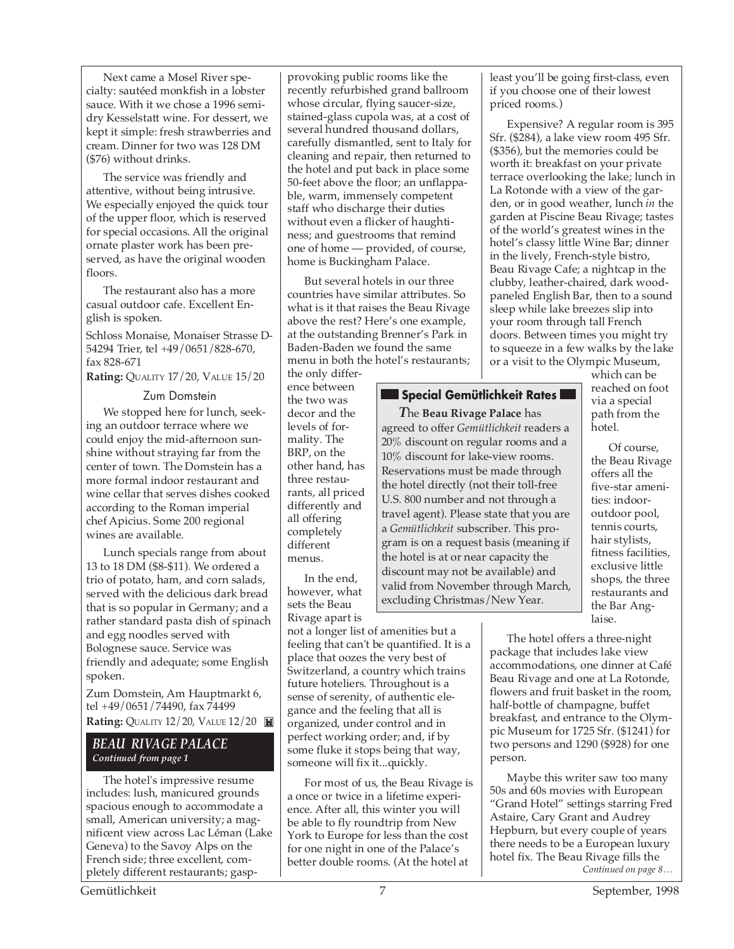Next came a Mosel River specialty: sautéed monkfish in a lobster sauce. With it we chose a 1996 semidry Kesselstatt wine. For dessert, we kept it simple: fresh strawberries and cream. Dinner for two was 128 DM (\$76) without drinks.

The service was friendly and attentive, without being intrusive. We especially enjoyed the quick tour of the upper floor, which is reserved for special occasions. All the original ornate plaster work has been preserved, as have the original wooden floors.

The restaurant also has a more casual outdoor cafe. Excellent English is spoken.

Schloss Monaise, Monaiser Strasse D-54294 Trier, tel +49/0651/828-670, fax 828-671

**Rating:** QUALITY 17/20, VALUE 15/20

#### Zum Domstein

We stopped here for lunch, seeking an outdoor terrace where we could enjoy the mid-afternoon sunshine without straying far from the center of town. The Domstein has a more formal indoor restaurant and wine cellar that serves dishes cooked according to the Roman imperial chef Apicius. Some 200 regional wines are available.

Lunch specials range from about 13 to 18 DM (\$8-\$11). We ordered a trio of potato, ham, and corn salads, served with the delicious dark bread that is so popular in Germany; and a rather standard pasta dish of spinach and egg noodles served with Bolognese sauce. Service was friendly and adequate; some English spoken.

Zum Domstein, Am Hauptmarkt 6, tel +49/0651/74490, fax 74499 **Rating: QUALITY 12/20, VALUE 12/20** 

## *BEAU RIVAGE PALACE Continued from page 1*

The hotel's impressive resume includes: lush, manicured grounds spacious enough to accommodate a small, American university; a magnificent view across Lac Léman (Lake Geneva) to the Savoy Alps on the French side; three excellent, completely different restaurants; gasp-

provoking public rooms like the recently refurbished grand ballroom whose circular, flying saucer-size, stained-glass cupola was, at a cost of several hundred thousand dollars, carefully dismantled, sent to Italy for cleaning and repair, then returned to the hotel and put back in place some 50-feet above the floor; an unflappable, warm, immensely competent staff who discharge their duties without even a flicker of haughtiness; and guestrooms that remind one of home — provided, of course, home is Buckingham Palace.

But several hotels in our three countries have similar attributes. So what is it that raises the Beau Rivage above the rest? Here's one example, at the outstanding Brenner's Park in Baden-Baden we found the same menu in both the hotel's restaurants;

the only difference between the two was decor and the levels of formality. The BRP, on the other hand, has three restaurants, all priced differently and all offering completely different menus.

In the end, however, what sets the Beau Rivage apart is

not a longer list of amenities but a feeling that can't be quantified. It is a place that oozes the very best of Switzerland, a country which trains future hoteliers. Throughout is a sense of serenity, of authentic elegance and the feeling that all is organized, under control and in perfect working order; and, if by some fluke it stops being that way, someone will fix it...quickly.

For most of us, the Beau Rivage is a once or twice in a lifetime experience. After all, this winter you will be able to fly roundtrip from New York to Europe for less than the cost for one night in one of the Palace's better double rooms. (At the hotel at

least you'll be going first-class, even if you choose one of their lowest priced rooms.)

Expensive? A regular room is 395 Sfr. (\$284), a lake view room 495 Sfr. (\$356), but the memories could be worth it: breakfast on your private terrace overlooking the lake; lunch in La Rotonde with a view of the garden, or in good weather, lunch *in* the garden at Piscine Beau Rivage; tastes of the world's greatest wines in the hotel's classy little Wine Bar; dinner in the lively, French-style bistro, Beau Rivage Cafe; a nightcap in the clubby, leather-chaired, dark woodpaneled English Bar, then to a sound sleep while lake breezes slip into your room through tall French doors. Between times you might try to squeeze in a few walks by the lake or a visit to the Olympic Museum,

## **Special Gemütlichkeit Rates**

*T*he **Beau Rivage Palace** has agreed to offer *Gemütlichkeit* readers a 20% discount on regular rooms and a 10% discount for lake-view rooms. Reservations must be made through the hotel directly (not their toll-free U.S. 800 number and not through a travel agent). Please state that you are a *Gemütlichkeit* subscriber. This program is on a request basis (meaning if the hotel is at or near capacity the discount may not be available) and valid from November through March, excluding Christmas/New Year.

which can be reached on foot via a special path from the hotel.

Of course, the Beau Rivage offers all the five-star amenities: indooroutdoor pool, tennis courts, hair stylists, fitness facilities, exclusive little shops, the three restaurants and the Bar Anglaise.

The hotel offers a three-night package that includes lake view accommodations, one dinner at Café Beau Rivage and one at La Rotonde, flowers and fruit basket in the room, half-bottle of champagne, buffet breakfast, and entrance to the Olympic Museum for 1725 Sfr. (\$1241) for two persons and 1290 (\$928) for one person.

*Continued on page 8…* Maybe this writer saw too many 50s and 60s movies with European "Grand Hotel" settings starring Fred Astaire, Cary Grant and Audrey Hepburn, but every couple of years there needs to be a European luxury hotel fix. The Beau Rivage fills the